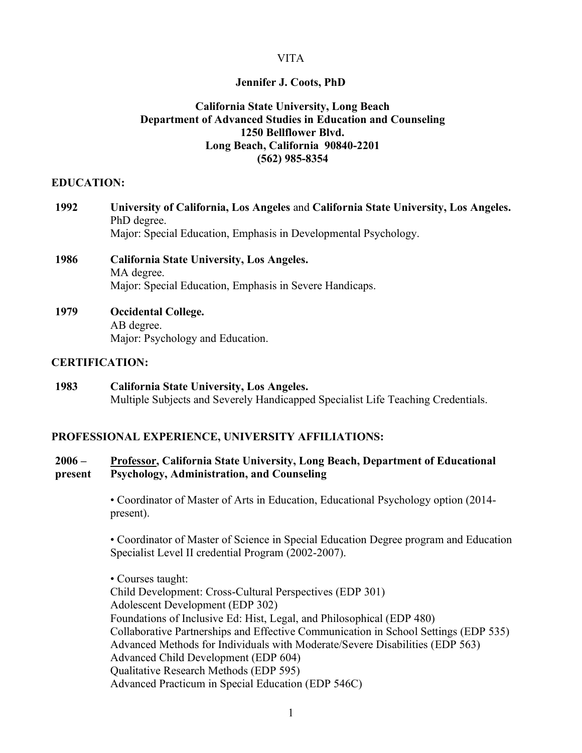## VITA

### **Jennifer J. Coots, PhD**

# **California State University, Long Beach Department of Advanced Studies in Education and Counseling 1250 Bellflower Blvd. Long Beach, California 90840-2201 (562) 985-8354**

### **EDUCATION:**

- **1992 University of California, Los Angeles** and **California State University, Los Angeles.** PhD degree. Major: Special Education, Emphasis in Developmental Psychology.
- **1986 California State University, Los Angeles.** MA degree. Major: Special Education, Emphasis in Severe Handicaps.
- **1979 Occidental College.** AB degree. Major: Psychology and Education.

### **CERTIFICATION:**

**1983 California State University, Los Angeles.** Multiple Subjects and Severely Handicapped Specialist Life Teaching Credentials.

### **PROFESSIONAL EXPERIENCE, UNIVERSITY AFFILIATIONS:**

#### **2006 – present Professor, California State University, Long Beach, Department of Educational Psychology, Administration, and Counseling**

• Coordinator of Master of Arts in Education, Educational Psychology option (2014 present).

• Coordinator of Master of Science in Special Education Degree program and Education Specialist Level II credential Program (2002-2007).

• Courses taught: Child Development: Cross-Cultural Perspectives (EDP 301) Adolescent Development (EDP 302) Foundations of Inclusive Ed: Hist, Legal, and Philosophical (EDP 480) Collaborative Partnerships and Effective Communication in School Settings (EDP 535) Advanced Methods for Individuals with Moderate/Severe Disabilities (EDP 563) Advanced Child Development (EDP 604) Qualitative Research Methods (EDP 595) Advanced Practicum in Special Education (EDP 546C)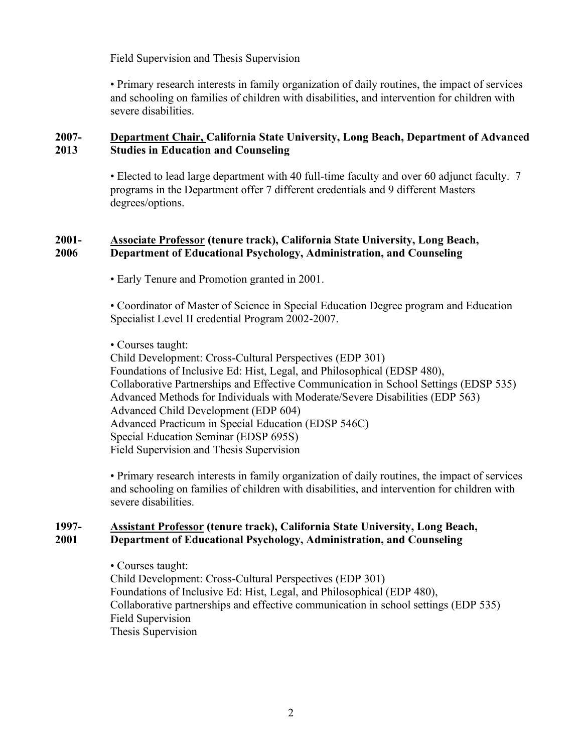Field Supervision and Thesis Supervision

• Primary research interests in family organization of daily routines, the impact of services and schooling on families of children with disabilities, and intervention for children with severe disabilities.

#### **2007- 2013 Department Chair, California State University, Long Beach, Department of Advanced Studies in Education and Counseling**

• Elected to lead large department with 40 full-time faculty and over 60 adjunct faculty. 7 programs in the Department offer 7 different credentials and 9 different Masters degrees/options.

#### **2001- 2006 Associate Professor (tenure track), California State University, Long Beach, Department of Educational Psychology, Administration, and Counseling**

• Early Tenure and Promotion granted in 2001.

• Coordinator of Master of Science in Special Education Degree program and Education Specialist Level II credential Program 2002-2007.

• Courses taught:

Child Development: Cross-Cultural Perspectives (EDP 301) Foundations of Inclusive Ed: Hist, Legal, and Philosophical (EDSP 480), Collaborative Partnerships and Effective Communication in School Settings (EDSP 535) Advanced Methods for Individuals with Moderate/Severe Disabilities (EDP 563) Advanced Child Development (EDP 604) Advanced Practicum in Special Education (EDSP 546C) Special Education Seminar (EDSP 695S) Field Supervision and Thesis Supervision

• Primary research interests in family organization of daily routines, the impact of services and schooling on families of children with disabilities, and intervention for children with severe disabilities.

#### **1997- 2001 Assistant Professor (tenure track), California State University, Long Beach, Department of Educational Psychology, Administration, and Counseling**

• Courses taught: Child Development: Cross-Cultural Perspectives (EDP 301) Foundations of Inclusive Ed: Hist, Legal, and Philosophical (EDP 480), Collaborative partnerships and effective communication in school settings (EDP 535) Field Supervision Thesis Supervision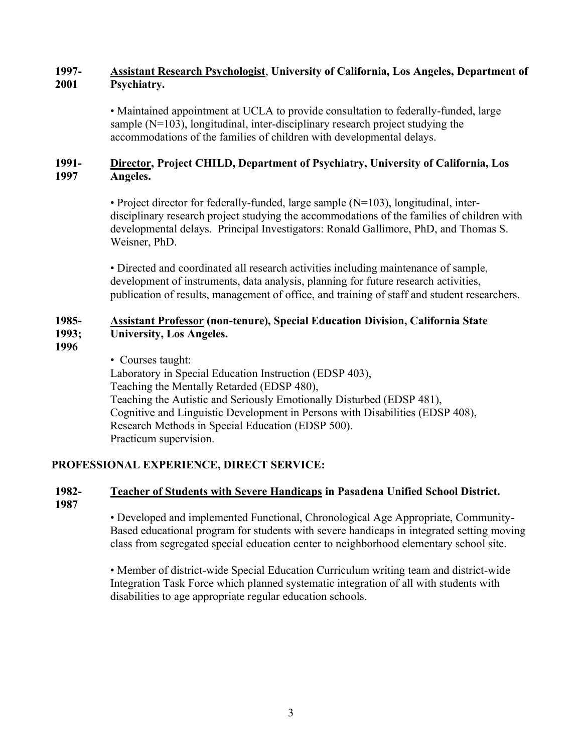#### **1997- 2001 Assistant Research Psychologist**, **University of California, Los Angeles, Department of Psychiatry.**

• Maintained appointment at UCLA to provide consultation to federally-funded, large sample  $(N=103)$ , longitudinal, inter-disciplinary research project studying the accommodations of the families of children with developmental delays.

#### **1991- 1997 Director, Project CHILD, Department of Psychiatry, University of California, Los Angeles.**

• Project director for federally-funded, large sample  $(N=103)$ , longitudinal, interdisciplinary research project studying the accommodations of the families of children with developmental delays. Principal Investigators: Ronald Gallimore, PhD, and Thomas S. Weisner, PhD.

• Directed and coordinated all research activities including maintenance of sample, development of instruments, data analysis, planning for future research activities, publication of results, management of office, and training of staff and student researchers.

#### **1985- 1993; Assistant Professor (non-tenure), Special Education Division, California State University, Los Angeles.**

**1996**

• Courses taught:

Laboratory in Special Education Instruction (EDSP 403), Teaching the Mentally Retarded (EDSP 480), Teaching the Autistic and Seriously Emotionally Disturbed (EDSP 481), Cognitive and Linguistic Development in Persons with Disabilities (EDSP 408), Research Methods in Special Education (EDSP 500). Practicum supervision.

# **PROFESSIONAL EXPERIENCE, DIRECT SERVICE:**

#### **1982- Teacher of Students with Severe Handicaps in Pasadena Unified School District.**

**1987**

• Developed and implemented Functional, Chronological Age Appropriate, Community-Based educational program for students with severe handicaps in integrated setting moving class from segregated special education center to neighborhood elementary school site.

• Member of district-wide Special Education Curriculum writing team and district-wide Integration Task Force which planned systematic integration of all with students with disabilities to age appropriate regular education schools.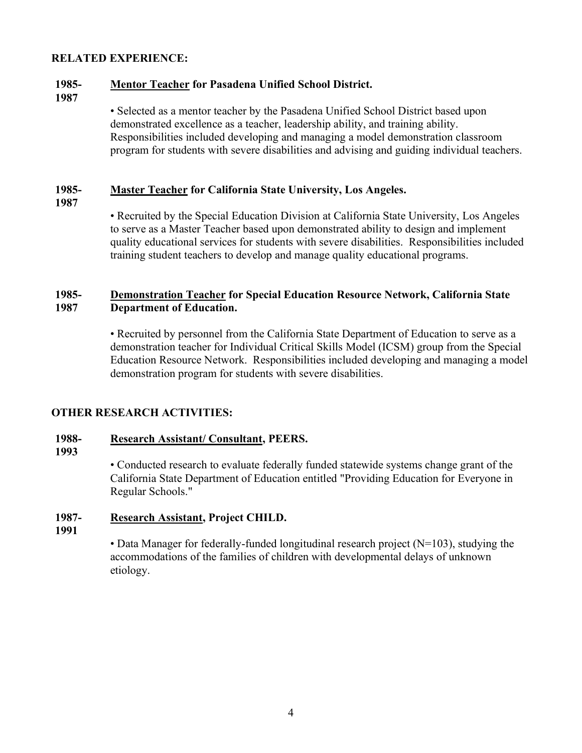## **RELATED EXPERIENCE:**

#### **1985- Mentor Teacher for Pasadena Unified School District.**

**1987**

• Selected as a mentor teacher by the Pasadena Unified School District based upon demonstrated excellence as a teacher, leadership ability, and training ability. Responsibilities included developing and managing a model demonstration classroom program for students with severe disabilities and advising and guiding individual teachers.

#### **1985- Master Teacher for California State University, Los Angeles.**

**1987**

• Recruited by the Special Education Division at California State University, Los Angeles to serve as a Master Teacher based upon demonstrated ability to design and implement quality educational services for students with severe disabilities. Responsibilities included training student teachers to develop and manage quality educational programs.

#### **1985- 1987 Demonstration Teacher for Special Education Resource Network, California State Department of Education.**

• Recruited by personnel from the California State Department of Education to serve as a demonstration teacher for Individual Critical Skills Model (ICSM) group from the Special Education Resource Network. Responsibilities included developing and managing a model demonstration program for students with severe disabilities.

# **OTHER RESEARCH ACTIVITIES:**

#### **1988- Research Assistant/ Consultant, PEERS.**

**1993**

• Conducted research to evaluate federally funded statewide systems change grant of the California State Department of Education entitled "Providing Education for Everyone in Regular Schools."

#### **1987- Research Assistant, Project CHILD.**

**1991**

• Data Manager for federally-funded longitudinal research project  $(N=103)$ , studying the accommodations of the families of children with developmental delays of unknown etiology.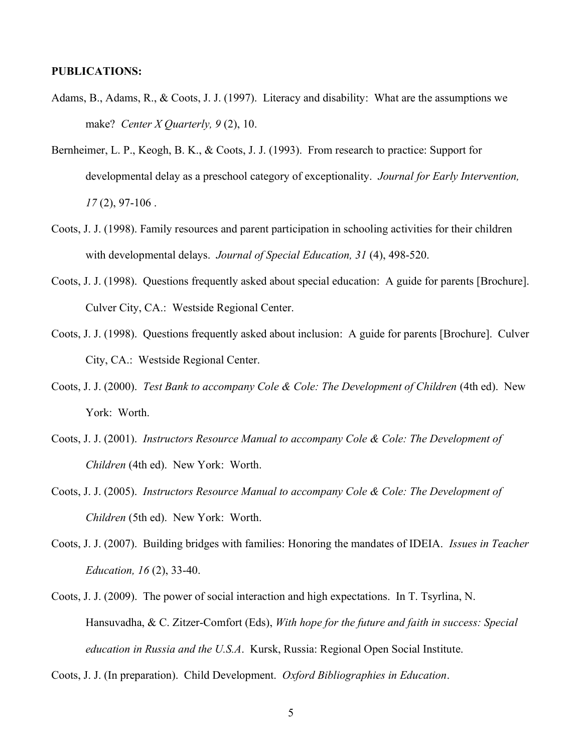#### **PUBLICATIONS:**

- Adams, B., Adams, R., & Coots, J. J. (1997). Literacy and disability: What are the assumptions we make? *Center X Quarterly, 9* (2), 10.
- Bernheimer, L. P., Keogh, B. K., & Coots, J. J. (1993). From research to practice: Support for developmental delay as a preschool category of exceptionality. *Journal for Early Intervention, 17* (2), 97-106 .
- Coots, J. J. (1998). Family resources and parent participation in schooling activities for their children with developmental delays. *Journal of Special Education, 31* (4), 498-520.
- Coots, J. J. (1998). Questions frequently asked about special education: A guide for parents [Brochure]. Culver City, CA.: Westside Regional Center.
- Coots, J. J. (1998). Questions frequently asked about inclusion: A guide for parents [Brochure]. Culver City, CA.: Westside Regional Center.
- Coots, J. J. (2000). *Test Bank to accompany Cole & Cole: The Development of Children* (4th ed). New York: Worth.
- Coots, J. J. (2001). *Instructors Resource Manual to accompany Cole & Cole: The Development of Children* (4th ed). New York: Worth.
- Coots, J. J. (2005). *Instructors Resource Manual to accompany Cole & Cole: The Development of Children* (5th ed). New York: Worth.
- Coots, J. J. (2007). Building bridges with families: Honoring the mandates of IDEIA. *Issues in Teacher Education, 16* (2), 33-40.
- Coots, J. J. (2009). The power of social interaction and high expectations. In T. Tsyrlina, N. Hansuvadha, & C. Zitzer-Comfort (Eds), *With hope for the future and faith in success: Special education in Russia and the U.S.A*. Kursk, Russia: Regional Open Social Institute.
- Coots, J. J. (In preparation). Child Development. *Oxford Bibliographies in Education*.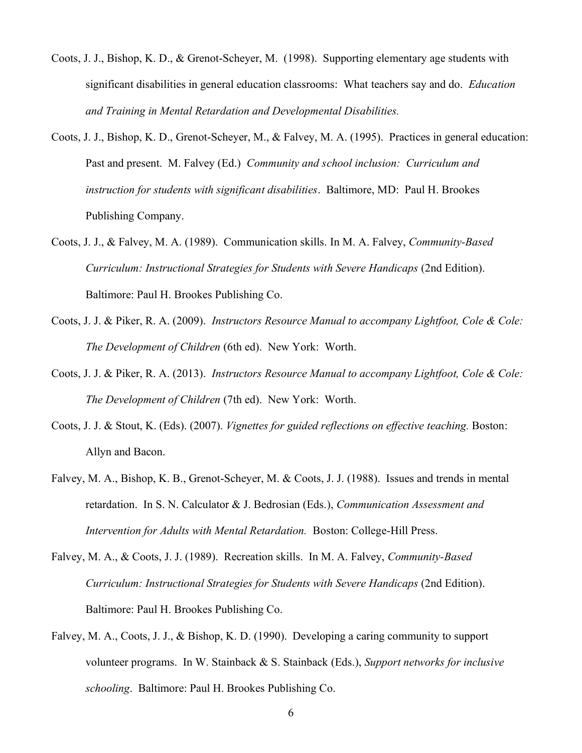- Coots, J. J., Bishop, K. D., & Grenot-Scheyer, M. (1998). Supporting elementary age students with significant disabilities in general education classrooms: What teachers say and do. *Education and Training in Mental Retardation and Developmental Disabilities.*
- Coots, J. J., Bishop, K. D., Grenot-Scheyer, M., & Falvey, M. A. (1995). Practices in general education: Past and present. M. Falvey (Ed.) *Community and school inclusion: Curriculum and instruction for students with significant disabilities*. Baltimore, MD: Paul H. Brookes Publishing Company.
- Coots, J. J., & Falvey, M. A. (1989). Communication skills. In M. A. Falvey, *Community-Based Curriculum: Instructional Strategies for Students with Severe Handicaps* (2nd Edition). Baltimore: Paul H. Brookes Publishing Co.
- Coots, J. J. & Piker, R. A. (2009). *Instructors Resource Manual to accompany Lightfoot, Cole & Cole: The Development of Children* (6th ed). New York: Worth.
- Coots, J. J. & Piker, R. A. (2013). *Instructors Resource Manual to accompany Lightfoot, Cole & Cole: The Development of Children* (7th ed). New York: Worth.
- Coots, J. J. & Stout, K. (Eds). (2007). *Vignettes for guided reflections on effective teaching.* Boston: Allyn and Bacon.
- Falvey, M. A., Bishop, K. B., Grenot-Scheyer, M. & Coots, J. J. (1988). Issues and trends in mental retardation.In S. N. Calculator & J. Bedrosian (Eds.), *Communication Assessment and Intervention for Adults with Mental Retardation.* Boston: College-Hill Press.
- Falvey, M. A., & Coots, J. J. (1989). Recreation skills. In M. A. Falvey, *Community-Based Curriculum: Instructional Strategies for Students with Severe Handicaps (2nd Edition).* Baltimore: Paul H. Brookes Publishing Co.
- Falvey, M. A., Coots, J. J., & Bishop, K. D. (1990). Developing a caring community to support volunteer programs. In W. Stainback & S. Stainback (Eds.), *Support networks for inclusive schooling*. Baltimore: Paul H. Brookes Publishing Co.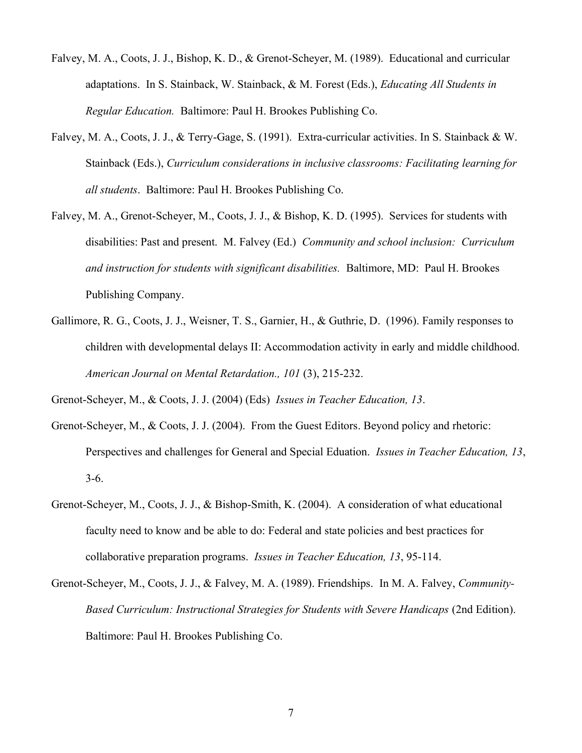- Falvey, M. A., Coots, J. J., Bishop, K. D., & Grenot-Scheyer, M. (1989). Educational and curricular adaptations.In S. Stainback, W. Stainback, & M. Forest (Eds.), *Educating All Students in Regular Education.* Baltimore: Paul H. Brookes Publishing Co.
- Falvey, M. A., Coots, J. J., & Terry-Gage, S. (1991). Extra-curricular activities. In S. Stainback & W. Stainback (Eds.), *Curriculum considerations in inclusive classrooms: Facilitating learning for all students*. Baltimore: Paul H. Brookes Publishing Co.
- Falvey, M. A., Grenot-Scheyer, M., Coots, J. J., & Bishop, K. D. (1995). Services for students with disabilities: Past and present. M. Falvey (Ed.) *Community and school inclusion: Curriculum and instruction for students with significant disabilities.* Baltimore, MD: Paul H. Brookes Publishing Company.
- Gallimore, R. G., Coots, J. J., Weisner, T. S., Garnier, H., & Guthrie, D. (1996). Family responses to children with developmental delays II: Accommodation activity in early and middle childhood. *American Journal on Mental Retardation., 101* (3), 215-232.

Grenot-Scheyer, M., & Coots, J. J. (2004) (Eds) *Issues in Teacher Education, 13*.

- Grenot-Scheyer, M., & Coots, J. J. (2004). From the Guest Editors. Beyond policy and rhetoric: Perspectives and challenges for General and Special Eduation. *Issues in Teacher Education, 13*, 3-6.
- Grenot-Scheyer, M., Coots, J. J., & Bishop-Smith, K. (2004). A consideration of what educational faculty need to know and be able to do: Federal and state policies and best practices for collaborative preparation programs. *Issues in Teacher Education, 13*, 95-114.
- Grenot-Scheyer, M., Coots, J. J., & Falvey, M. A. (1989). Friendships.In M. A. Falvey, *Community-Based Curriculum: Instructional Strategies for Students with Severe Handicaps* (2nd Edition). Baltimore: Paul H. Brookes Publishing Co.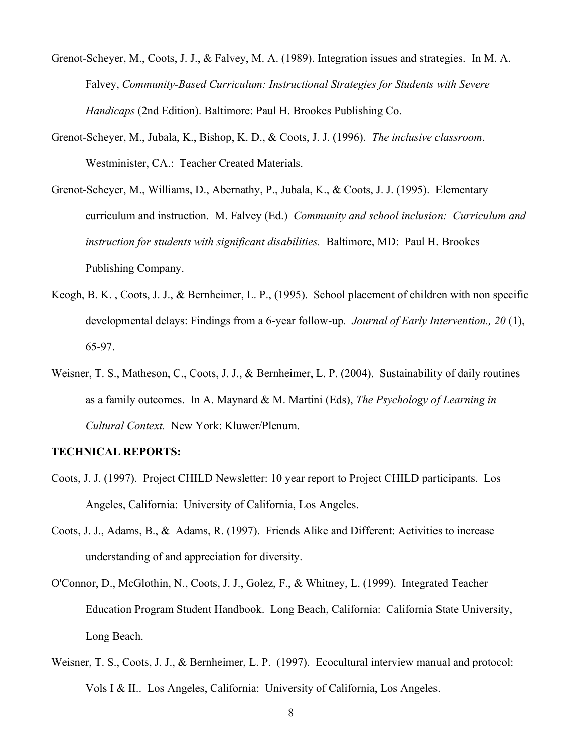- Grenot-Scheyer, M., Coots, J. J., & Falvey, M. A. (1989). Integration issues and strategies.In M. A. Falvey, *Community-Based Curriculum: Instructional Strategies for Students with Severe Handicaps* (2nd Edition). Baltimore: Paul H. Brookes Publishing Co.
- Grenot-Scheyer, M., Jubala, K., Bishop, K. D., & Coots, J. J. (1996). *The inclusive classroom*. Westminister, CA.: Teacher Created Materials.
- Grenot-Scheyer, M., Williams, D., Abernathy, P., Jubala, K., & Coots, J. J. (1995). Elementary curriculum and instruction. M. Falvey (Ed.) *Community and school inclusion: Curriculum and instruction for students with significant disabilities.* Baltimore, MD: Paul H. Brookes Publishing Company.
- Keogh, B. K. , Coots, J. J., & Bernheimer, L. P., (1995). School placement of children with non specific developmental delays: Findings from a 6-year follow-up*. Journal of Early Intervention., 20* (1), 65-97.
- Weisner, T. S., Matheson, C., Coots, J. J., & Bernheimer, L. P. (2004). Sustainability of daily routines as a family outcomes. In A. Maynard & M. Martini (Eds), *The Psychology of Learning in Cultural Context.* New York: Kluwer/Plenum.

## **TECHNICAL REPORTS:**

- Coots, J. J. (1997). Project CHILD Newsletter: 10 year report to Project CHILD participants. Los Angeles, California: University of California, Los Angeles.
- Coots, J. J., Adams, B., & Adams, R. (1997). Friends Alike and Different: Activities to increase understanding of and appreciation for diversity.
- O'Connor, D., McGlothin, N., Coots, J. J., Golez, F., & Whitney, L. (1999). Integrated Teacher Education Program Student Handbook. Long Beach, California: California State University, Long Beach.
- Weisner, T. S., Coots, J. J., & Bernheimer, L. P. (1997). Ecocultural interview manual and protocol: Vols I & II.. Los Angeles, California: University of California, Los Angeles.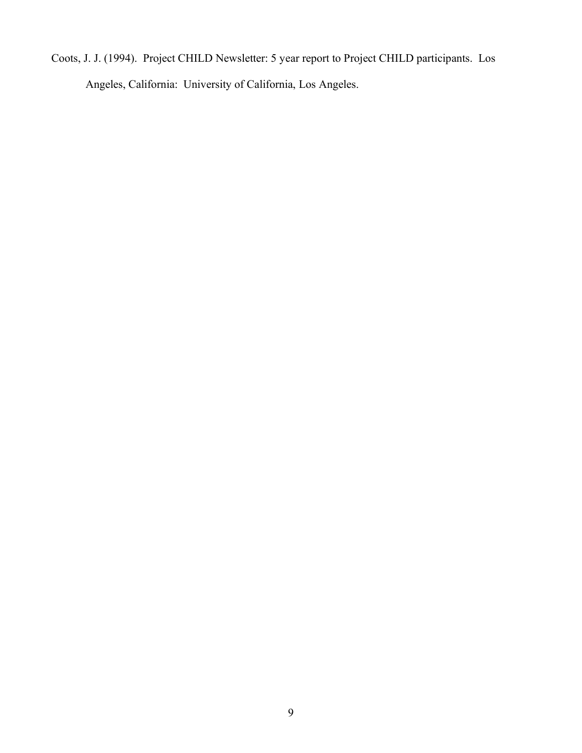Coots, J. J. (1994). Project CHILD Newsletter: 5 year report to Project CHILD participants. Los Angeles, California: University of California, Los Angeles.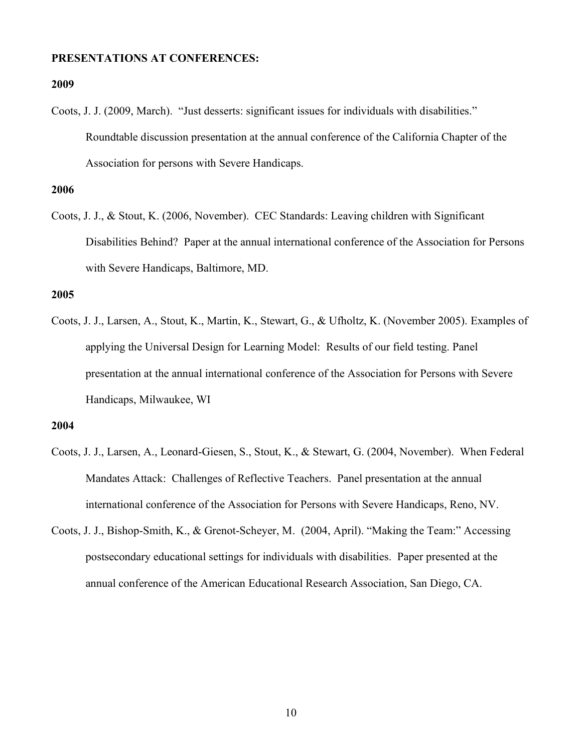### **PRESENTATIONS AT CONFERENCES:**

### **2009**

Coots, J. J. (2009, March). "Just desserts: significant issues for individuals with disabilities." Roundtable discussion presentation at the annual conference of the California Chapter of the Association for persons with Severe Handicaps.

## **2006**

Coots, J. J., & Stout, K. (2006, November). CEC Standards: Leaving children with Significant Disabilities Behind? Paper at the annual international conference of the Association for Persons with Severe Handicaps, Baltimore, MD.

### **2005**

Coots, J. J., Larsen, A., Stout, K., Martin, K., Stewart, G., & Ufholtz, K. (November 2005). Examples of applying the Universal Design for Learning Model: Results of our field testing. Panel presentation at the annual international conference of the Association for Persons with Severe Handicaps, Milwaukee, WI

- Coots, J. J., Larsen, A., Leonard-Giesen, S., Stout, K., & Stewart, G. (2004, November). When Federal Mandates Attack: Challenges of Reflective Teachers. Panel presentation at the annual international conference of the Association for Persons with Severe Handicaps, Reno, NV.
- Coots, J. J., Bishop-Smith, K., & Grenot-Scheyer, M. (2004, April). "Making the Team:" Accessing postsecondary educational settings for individuals with disabilities. Paper presented at the annual conference of the American Educational Research Association, San Diego, CA.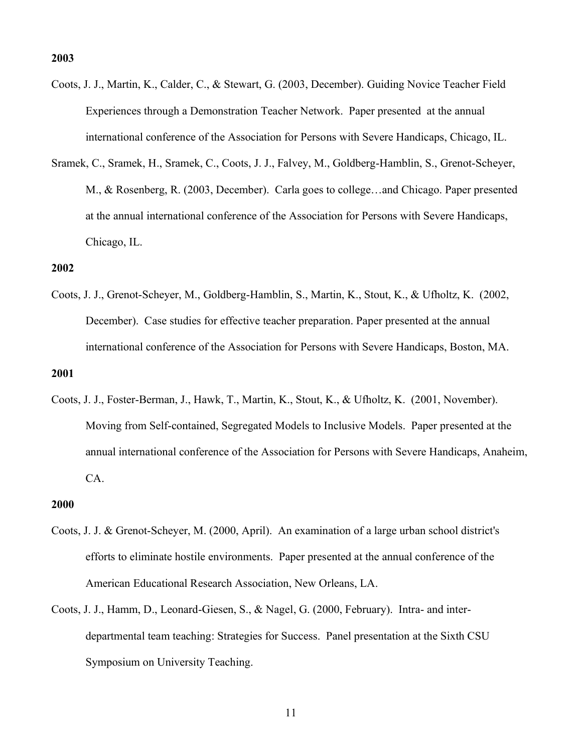- Coots, J. J., Martin, K., Calder, C., & Stewart, G. (2003, December). Guiding Novice Teacher Field Experiences through a Demonstration Teacher Network. Paper presented at the annual international conference of the Association for Persons with Severe Handicaps, Chicago, IL.
- Sramek, C., Sramek, H., Sramek, C., Coots, J. J., Falvey, M., Goldberg-Hamblin, S., Grenot-Scheyer, M., & Rosenberg, R. (2003, December). Carla goes to college…and Chicago. Paper presented at the annual international conference of the Association for Persons with Severe Handicaps, Chicago, IL.

### **2002**

Coots, J. J., Grenot-Scheyer, M., Goldberg-Hamblin, S., Martin, K., Stout, K., & Ufholtz, K. (2002, December). Case studies for effective teacher preparation. Paper presented at the annual international conference of the Association for Persons with Severe Handicaps, Boston, MA.

### **2001**

Coots, J. J., Foster-Berman, J., Hawk, T., Martin, K., Stout, K., & Ufholtz, K. (2001, November). Moving from Self-contained, Segregated Models to Inclusive Models. Paper presented at the annual international conference of the Association for Persons with Severe Handicaps, Anaheim, CA.

- Coots, J. J. & Grenot-Scheyer, M. (2000, April). An examination of a large urban school district's efforts to eliminate hostile environments. Paper presented at the annual conference of the American Educational Research Association, New Orleans, LA.
- Coots, J. J., Hamm, D., Leonard-Giesen, S., & Nagel, G. (2000, February). Intra- and interdepartmental team teaching: Strategies for Success. Panel presentation at the Sixth CSU Symposium on University Teaching.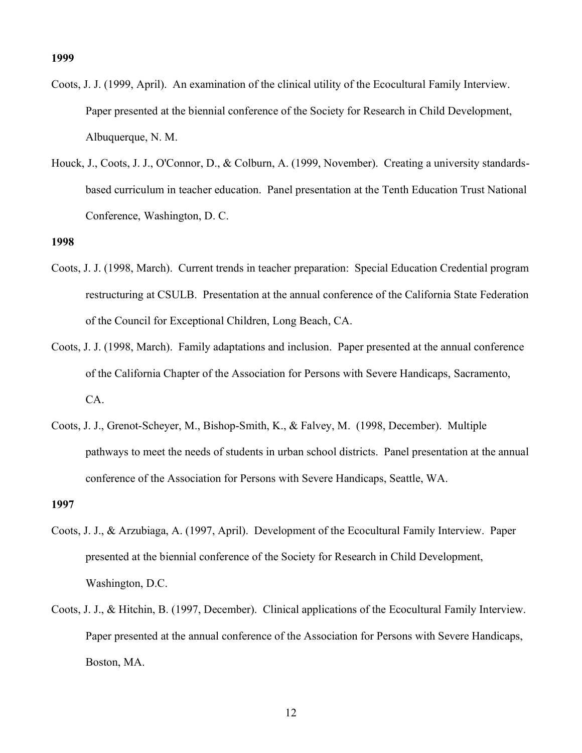- Coots, J. J. (1999, April). An examination of the clinical utility of the Ecocultural Family Interview. Paper presented at the biennial conference of the Society for Research in Child Development, Albuquerque, N. M.
- Houck, J., Coots, J. J., O'Connor, D., & Colburn, A. (1999, November). Creating a university standardsbased curriculum in teacher education. Panel presentation at the Tenth Education Trust National Conference, Washington, D. C.

#### **1998**

- Coots, J. J. (1998, March). Current trends in teacher preparation: Special Education Credential program restructuring at CSULB. Presentation at the annual conference of the California State Federation of the Council for Exceptional Children, Long Beach, CA.
- Coots, J. J. (1998, March). Family adaptations and inclusion. Paper presented at the annual conference of the California Chapter of the Association for Persons with Severe Handicaps, Sacramento, CA.
- Coots, J. J., Grenot-Scheyer, M., Bishop-Smith, K., & Falvey, M. (1998, December). Multiple pathways to meet the needs of students in urban school districts. Panel presentation at the annual conference of the Association for Persons with Severe Handicaps, Seattle, WA.

- Coots, J. J., & Arzubiaga, A. (1997, April). Development of the Ecocultural Family Interview. Paper presented at the biennial conference of the Society for Research in Child Development, Washington, D.C.
- Coots, J. J., & Hitchin, B. (1997, December). Clinical applications of the Ecocultural Family Interview. Paper presented at the annual conference of the Association for Persons with Severe Handicaps, Boston, MA.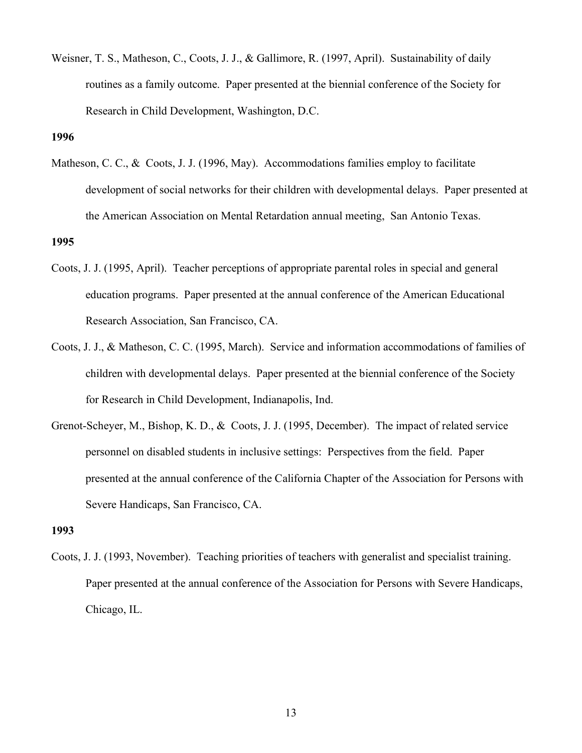Weisner, T. S., Matheson, C., Coots, J. J., & Gallimore, R. (1997, April). Sustainability of daily routines as a family outcome. Paper presented at the biennial conference of the Society for Research in Child Development, Washington, D.C.

## **1996**

Matheson, C. C., & Coots, J. J. (1996, May). Accommodations families employ to facilitate development of social networks for their children with developmental delays. Paper presented at the American Association on Mental Retardation annual meeting, San Antonio Texas.

### **1995**

- Coots, J. J. (1995, April). Teacher perceptions of appropriate parental roles in special and general education programs. Paper presented at the annual conference of the American Educational Research Association, San Francisco, CA.
- Coots, J. J., & Matheson, C. C. (1995, March). Service and information accommodations of families of children with developmental delays. Paper presented at the biennial conference of the Society for Research in Child Development, Indianapolis, Ind.
- Grenot-Scheyer, M., Bishop, K. D., & Coots, J. J. (1995, December). The impact of related service personnel on disabled students in inclusive settings: Perspectives from the field. Paper presented at the annual conference of the California Chapter of the Association for Persons with Severe Handicaps, San Francisco, CA.

#### **1993**

Coots, J. J. (1993, November). Teaching priorities of teachers with generalist and specialist training. Paper presented at the annual conference of the Association for Persons with Severe Handicaps, Chicago, IL.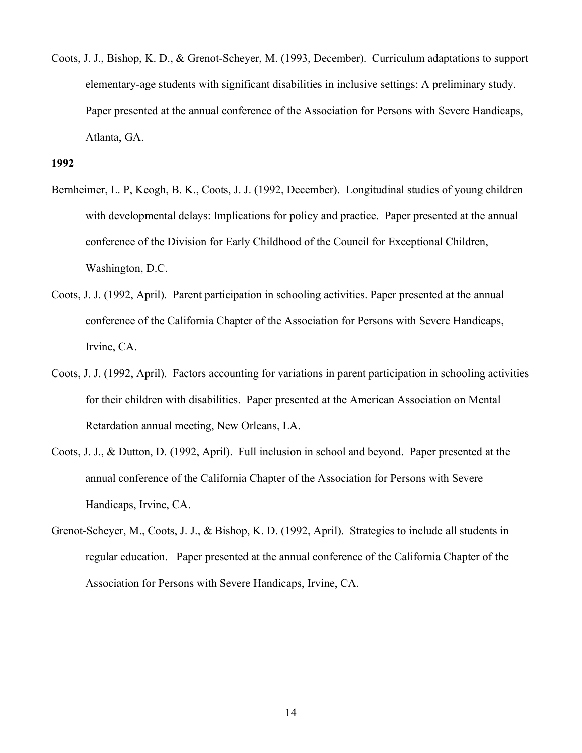Coots, J. J., Bishop, K. D., & Grenot-Scheyer, M. (1993, December). Curriculum adaptations to support elementary-age students with significant disabilities in inclusive settings: A preliminary study. Paper presented at the annual conference of the Association for Persons with Severe Handicaps, Atlanta, GA.

- Bernheimer, L. P, Keogh, B. K., Coots, J. J. (1992, December). Longitudinal studies of young children with developmental delays: Implications for policy and practice. Paper presented at the annual conference of the Division for Early Childhood of the Council for Exceptional Children, Washington, D.C.
- Coots, J. J. (1992, April). Parent participation in schooling activities. Paper presented at the annual conference of the California Chapter of the Association for Persons with Severe Handicaps, Irvine, CA.
- Coots, J. J. (1992, April). Factors accounting for variations in parent participation in schooling activities for their children with disabilities. Paper presented at the American Association on Mental Retardation annual meeting, New Orleans, LA.
- Coots, J. J., & Dutton, D. (1992, April). Full inclusion in school and beyond. Paper presented at the annual conference of the California Chapter of the Association for Persons with Severe Handicaps, Irvine, CA.
- Grenot-Scheyer, M., Coots, J. J., & Bishop, K. D. (1992, April). Strategies to include all students in regular education. Paper presented at the annual conference of the California Chapter of the Association for Persons with Severe Handicaps, Irvine, CA.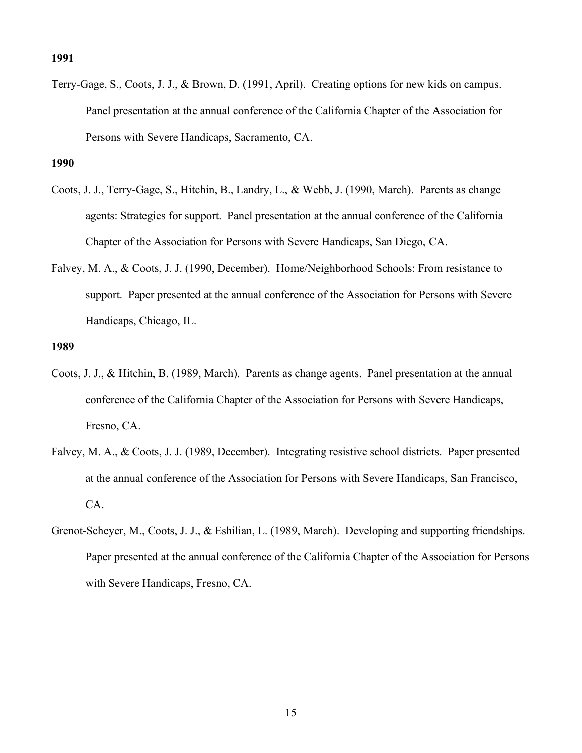Terry-Gage, S., Coots, J. J., & Brown, D. (1991, April). Creating options for new kids on campus. Panel presentation at the annual conference of the California Chapter of the Association for Persons with Severe Handicaps, Sacramento, CA.

- Coots, J. J., Terry-Gage, S., Hitchin, B., Landry, L., & Webb, J. (1990, March). Parents as change agents: Strategies for support. Panel presentation at the annual conference of the California Chapter of the Association for Persons with Severe Handicaps, San Diego, CA.
- Falvey, M. A., & Coots, J. J. (1990, December). Home/Neighborhood Schools: From resistance to support. Paper presented at the annual conference of the Association for Persons with Severe Handicaps, Chicago, IL.

- Coots, J. J., & Hitchin, B. (1989, March). Parents as change agents. Panel presentation at the annual conference of the California Chapter of the Association for Persons with Severe Handicaps, Fresno, CA.
- Falvey, M. A., & Coots, J. J. (1989, December). Integrating resistive school districts. Paper presented at the annual conference of the Association for Persons with Severe Handicaps, San Francisco, CA.
- Grenot-Scheyer, M., Coots, J. J., & Eshilian, L. (1989, March). Developing and supporting friendships. Paper presented at the annual conference of the California Chapter of the Association for Persons with Severe Handicaps, Fresno, CA.

**<sup>1990</sup>**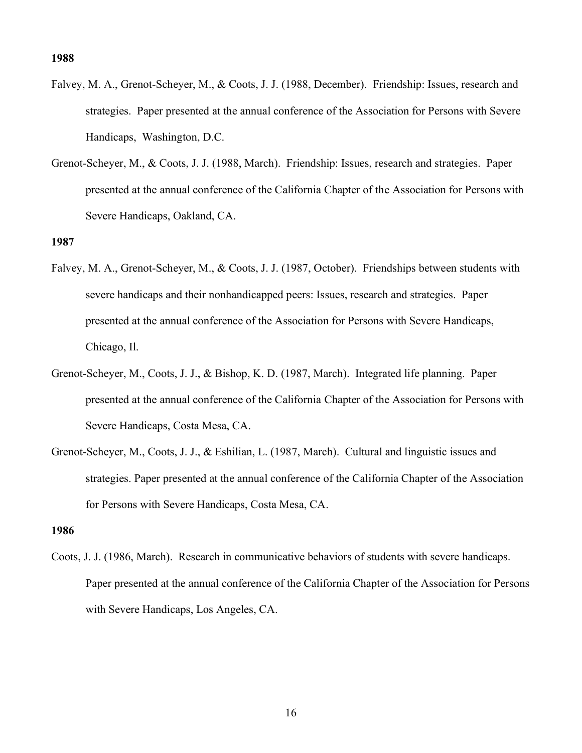- Falvey, M. A., Grenot-Scheyer, M., & Coots, J. J. (1988, December). Friendship: Issues, research and strategies. Paper presented at the annual conference of the Association for Persons with Severe Handicaps, Washington, D.C.
- Grenot-Scheyer, M., & Coots, J. J. (1988, March). Friendship: Issues, research and strategies. Paper presented at the annual conference of the California Chapter of the Association for Persons with Severe Handicaps, Oakland, CA.

### **1987**

- Falvey, M. A., Grenot-Scheyer, M., & Coots, J. J. (1987, October). Friendships between students with severe handicaps and their nonhandicapped peers: Issues, research and strategies. Paper presented at the annual conference of the Association for Persons with Severe Handicaps, Chicago, Il.
- Grenot-Scheyer, M., Coots, J. J., & Bishop, K. D. (1987, March). Integrated life planning. Paper presented at the annual conference of the California Chapter of the Association for Persons with Severe Handicaps, Costa Mesa, CA.
- Grenot-Scheyer, M., Coots, J. J., & Eshilian, L. (1987, March). Cultural and linguistic issues and strategies. Paper presented at the annual conference of the California Chapter of the Association for Persons with Severe Handicaps, Costa Mesa, CA.

#### **1986**

Coots, J. J. (1986, March). Research in communicative behaviors of students with severe handicaps. Paper presented at the annual conference of the California Chapter of the Association for Persons with Severe Handicaps, Los Angeles, CA.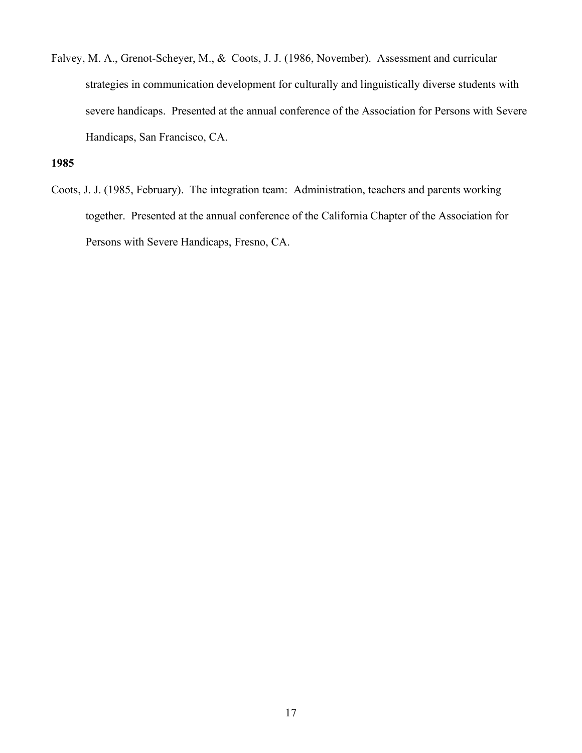Falvey, M. A., Grenot-Scheyer, M., & Coots, J. J. (1986, November). Assessment and curricular strategies in communication development for culturally and linguistically diverse students with severe handicaps. Presented at the annual conference of the Association for Persons with Severe Handicaps, San Francisco, CA.

## **1985**

Coots, J. J. (1985, February). The integration team: Administration, teachers and parents working together. Presented at the annual conference of the California Chapter of the Association for Persons with Severe Handicaps, Fresno, CA.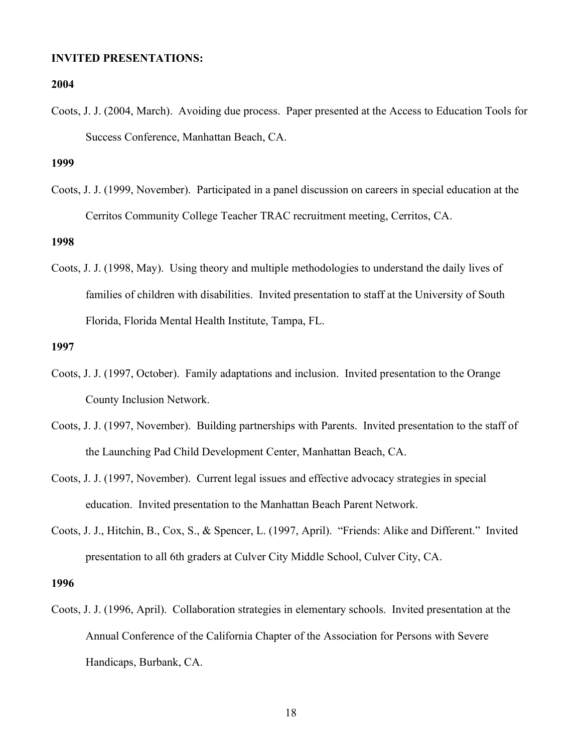#### **INVITED PRESENTATIONS:**

**2004**

Coots, J. J. (2004, March). Avoiding due process. Paper presented at the Access to Education Tools for Success Conference, Manhattan Beach, CA.

**1999**

Coots, J. J. (1999, November). Participated in a panel discussion on careers in special education at the Cerritos Community College Teacher TRAC recruitment meeting, Cerritos, CA.

**1998**

Coots, J. J. (1998, May). Using theory and multiple methodologies to understand the daily lives of families of children with disabilities. Invited presentation to staff at the University of South Florida, Florida Mental Health Institute, Tampa, FL.

**1997**

- Coots, J. J. (1997, October). Family adaptations and inclusion. Invited presentation to the Orange County Inclusion Network.
- Coots, J. J. (1997, November). Building partnerships with Parents. Invited presentation to the staff of the Launching Pad Child Development Center, Manhattan Beach, CA.
- Coots, J. J. (1997, November). Current legal issues and effective advocacy strategies in special education. Invited presentation to the Manhattan Beach Parent Network.
- Coots, J. J., Hitchin, B., Cox, S., & Spencer, L. (1997, April). "Friends: Alike and Different." Invited presentation to all 6th graders at Culver City Middle School, Culver City, CA.

**1996**

Coots, J. J. (1996, April). Collaboration strategies in elementary schools. Invited presentation at the Annual Conference of the California Chapter of the Association for Persons with Severe Handicaps, Burbank, CA.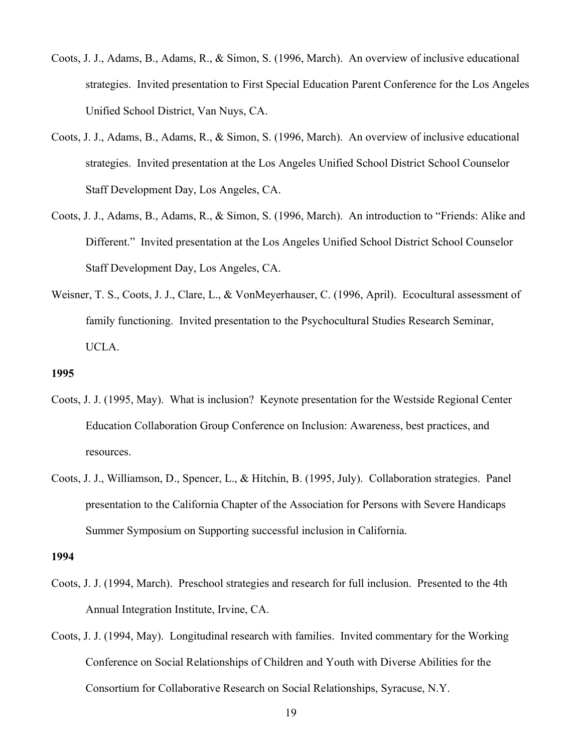- Coots, J. J., Adams, B., Adams, R., & Simon, S. (1996, March). An overview of inclusive educational strategies. Invited presentation to First Special Education Parent Conference for the Los Angeles Unified School District, Van Nuys, CA.
- Coots, J. J., Adams, B., Adams, R., & Simon, S. (1996, March). An overview of inclusive educational strategies. Invited presentation at the Los Angeles Unified School District School Counselor Staff Development Day, Los Angeles, CA.
- Coots, J. J., Adams, B., Adams, R., & Simon, S. (1996, March). An introduction to "Friends: Alike and Different." Invited presentation at the Los Angeles Unified School District School Counselor Staff Development Day, Los Angeles, CA.
- Weisner, T. S., Coots, J. J., Clare, L., & VonMeyerhauser, C. (1996, April). Ecocultural assessment of family functioning. Invited presentation to the Psychocultural Studies Research Seminar, UCLA.

### **1995**

- Coots, J. J. (1995, May). What is inclusion? Keynote presentation for the Westside Regional Center Education Collaboration Group Conference on Inclusion: Awareness, best practices, and resources.
- Coots, J. J., Williamson, D., Spencer, L., & Hitchin, B. (1995, July). Collaboration strategies. Panel presentation to the California Chapter of the Association for Persons with Severe Handicaps Summer Symposium on Supporting successful inclusion in California.

- Coots, J. J. (1994, March). Preschool strategies and research for full inclusion. Presented to the 4th Annual Integration Institute, Irvine, CA.
- Coots, J. J. (1994, May). Longitudinal research with families. Invited commentary for the Working Conference on Social Relationships of Children and Youth with Diverse Abilities for the Consortium for Collaborative Research on Social Relationships, Syracuse, N.Y.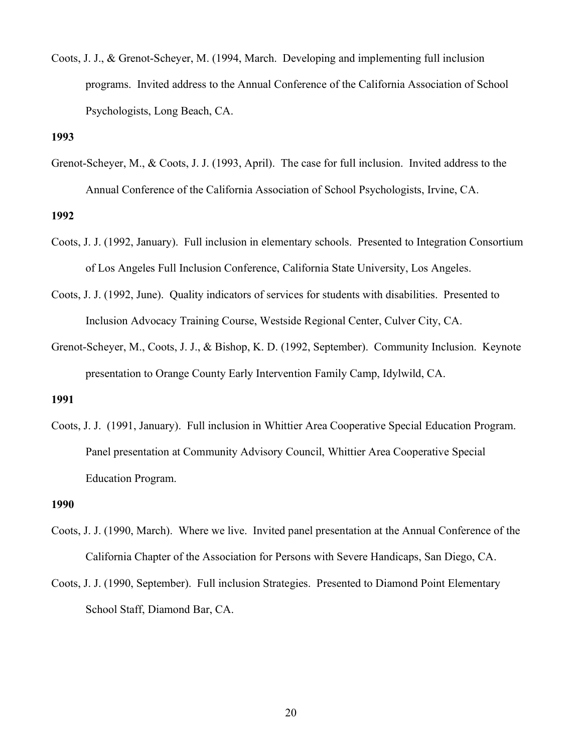Coots, J. J., & Grenot-Scheyer, M. (1994, March. Developing and implementing full inclusion programs. Invited address to the Annual Conference of the California Association of School Psychologists, Long Beach, CA.

### **1993**

Grenot-Scheyer, M., & Coots, J. J. (1993, April). The case for full inclusion. Invited address to the Annual Conference of the California Association of School Psychologists, Irvine, CA.

### **1992**

- Coots, J. J. (1992, January). Full inclusion in elementary schools. Presented to Integration Consortium of Los Angeles Full Inclusion Conference, California State University, Los Angeles.
- Coots, J. J. (1992, June). Quality indicators of services for students with disabilities. Presented to Inclusion Advocacy Training Course, Westside Regional Center, Culver City, CA.
- Grenot-Scheyer, M., Coots, J. J., & Bishop, K. D. (1992, September). Community Inclusion. Keynote presentation to Orange County Early Intervention Family Camp, Idylwild, CA.

## **1991**

Coots, J. J. (1991, January). Full inclusion in Whittier Area Cooperative Special Education Program. Panel presentation at Community Advisory Council, Whittier Area Cooperative Special Education Program.

- Coots, J. J. (1990, March). Where we live. Invited panel presentation at the Annual Conference of the California Chapter of the Association for Persons with Severe Handicaps, San Diego, CA.
- Coots, J. J. (1990, September). Full inclusion Strategies. Presented to Diamond Point Elementary School Staff, Diamond Bar, CA.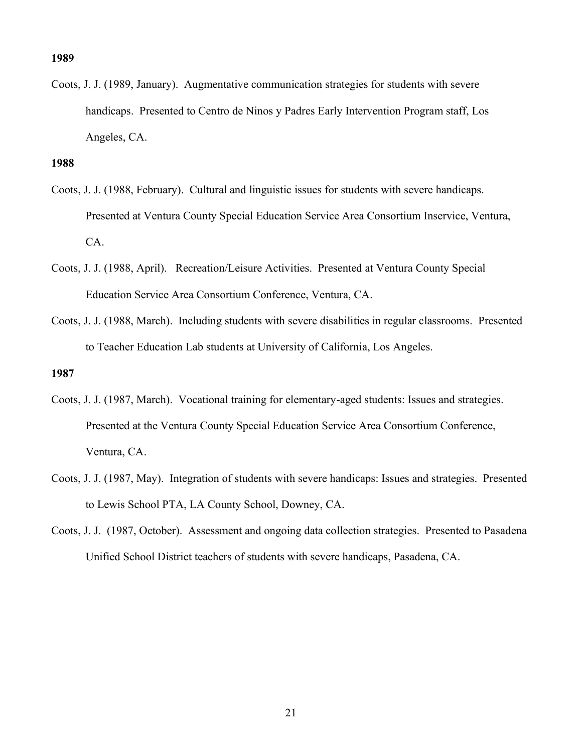Coots, J. J. (1989, January). Augmentative communication strategies for students with severe handicaps. Presented to Centro de Ninos y Padres Early Intervention Program staff, Los Angeles, CA.

## **1988**

- Coots, J. J. (1988, February). Cultural and linguistic issues for students with severe handicaps. Presented at Ventura County Special Education Service Area Consortium Inservice, Ventura, CA.
- Coots, J. J. (1988, April). Recreation/Leisure Activities. Presented at Ventura County Special Education Service Area Consortium Conference, Ventura, CA.
- Coots, J. J. (1988, March). Including students with severe disabilities in regular classrooms. Presented to Teacher Education Lab students at University of California, Los Angeles.

- Coots, J. J. (1987, March). Vocational training for elementary-aged students: Issues and strategies. Presented at the Ventura County Special Education Service Area Consortium Conference, Ventura, CA.
- Coots, J. J. (1987, May). Integration of students with severe handicaps: Issues and strategies. Presented to Lewis School PTA, LA County School, Downey, CA.
- Coots, J. J. (1987, October). Assessment and ongoing data collection strategies. Presented to Pasadena Unified School District teachers of students with severe handicaps, Pasadena, CA.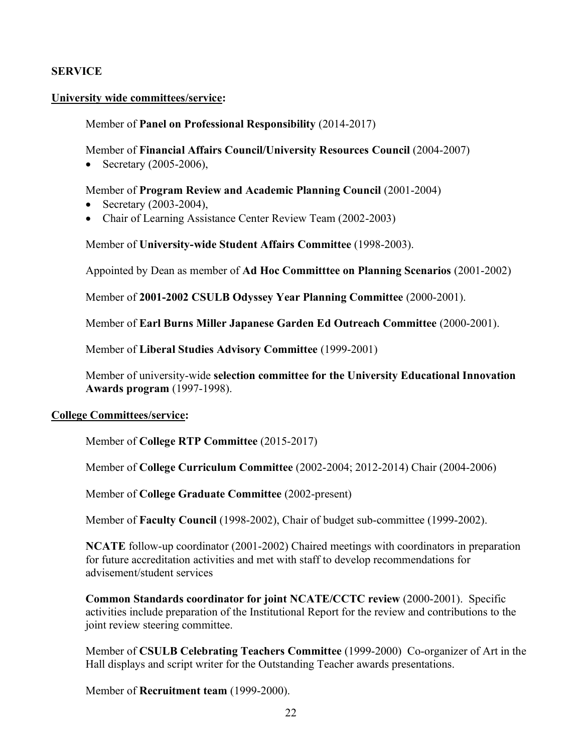# **SERVICE**

## **University wide committees/service:**

## Member of **Panel on Professional Responsibility** (2014-2017)

## Member of **Financial Affairs Council/University Resources Council** (2004-2007)

• Secretary (2005-2006),

## Member of **Program Review and Academic Planning Council** (2001-2004)

- Secretary (2003-2004),
- Chair of Learning Assistance Center Review Team (2002-2003)

Member of **University-wide Student Affairs Committee** (1998-2003).

Appointed by Dean as member of **Ad Hoc Committtee on Planning Scenarios** (2001-2002)

Member of **2001-2002 CSULB Odyssey Year Planning Committee** (2000-2001).

Member of **Earl Burns Miller Japanese Garden Ed Outreach Committee** (2000-2001).

Member of **Liberal Studies Advisory Committee** (1999-2001)

Member of university-wide **selection committee for the University Educational Innovation Awards program** (1997-1998).

## **College Committees/service:**

Member of **College RTP Committee** (2015-2017)

Member of **College Curriculum Committee** (2002-2004; 2012-2014) Chair (2004-2006)

Member of **College Graduate Committee** (2002-present)

Member of **Faculty Council** (1998-2002), Chair of budget sub-committee (1999-2002).

**NCATE** follow-up coordinator (2001-2002) Chaired meetings with coordinators in preparation for future accreditation activities and met with staff to develop recommendations for advisement/student services

**Common Standards coordinator for joint NCATE/CCTC review** (2000-2001). Specific activities include preparation of the Institutional Report for the review and contributions to the joint review steering committee.

Member of **CSULB Celebrating Teachers Committee** (1999-2000) Co-organizer of Art in the Hall displays and script writer for the Outstanding Teacher awards presentations.

Member of **Recruitment team** (1999-2000).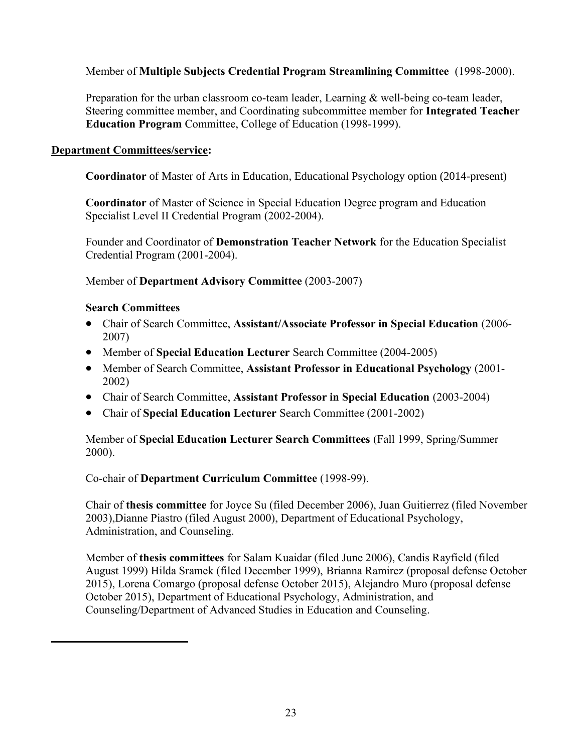# Member of **Multiple Subjects Credential Program Streamlining Committee** (1998-2000).

Preparation for the urban classroom co-team leader, Learning & well-being co-team leader, Steering committee member, and Coordinating subcommittee member for **Integrated Teacher Education Program** Committee, College of Education (1998-1999).

## **Department Committees/service:**

**Coordinator** of Master of Arts in Education, Educational Psychology option (2014-present)

**Coordinator** of Master of Science in Special Education Degree program and Education Specialist Level II Credential Program (2002-2004).

Founder and Coordinator of **Demonstration Teacher Network** for the Education Specialist Credential Program (2001-2004).

Member of **Department Advisory Committee** (2003-2007)

## **Search Committees**

- Chair of Search Committee, **Assistant/Associate Professor in Special Education** (2006- 2007)
- Member of **Special Education Lecturer** Search Committee (2004-2005)
- Member of Search Committee, **Assistant Professor in Educational Psychology** (2001- 2002)
- Chair of Search Committee, **Assistant Professor in Special Education** (2003-2004)
- Chair of **Special Education Lecturer** Search Committee (2001-2002)

Member of **Special Education Lecturer Search Committees** (Fall 1999, Spring/Summer 2000).

Co-chair of **Department Curriculum Committee** (1998-99).

Chair of **thesis committee** for Joyce Su (filed December 2006), Juan Guitierrez (filed November 2003),Dianne Piastro (filed August 2000), Department of Educational Psychology, Administration, and Counseling.

Member of **thesis committees** for Salam Kuaidar (filed June 2006), Candis Rayfield (filed August 1999) Hilda Sramek (filed December 1999), Brianna Ramirez (proposal defense October 2015), Lorena Comargo (proposal defense October 2015), Alejandro Muro (proposal defense October 2015), Department of Educational Psychology, Administration, and Counseling/Department of Advanced Studies in Education and Counseling.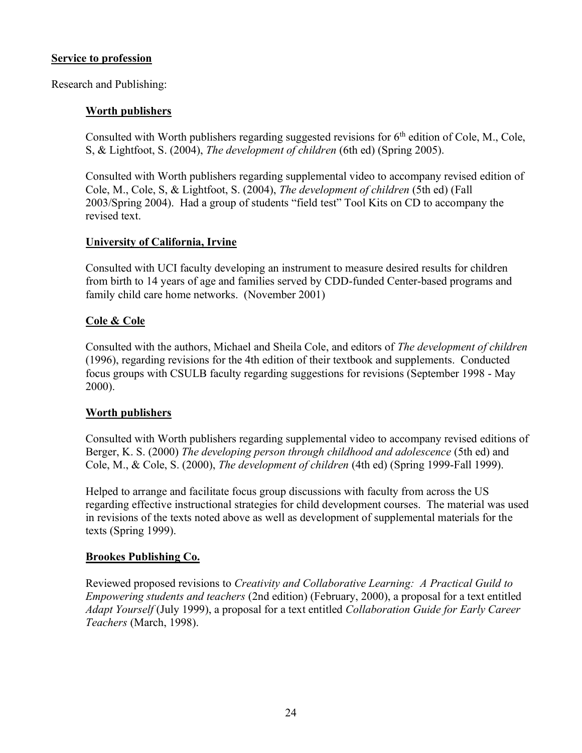## **Service to profession**

Research and Publishing:

## **Worth publishers**

Consulted with Worth publishers regarding suggested revisions for  $6<sup>th</sup>$  edition of Cole, M., Cole, S, & Lightfoot, S. (2004), *The development of children* (6th ed) (Spring 2005).

Consulted with Worth publishers regarding supplemental video to accompany revised edition of Cole, M., Cole, S, & Lightfoot, S. (2004), *The development of children* (5th ed) (Fall 2003/Spring 2004). Had a group of students "field test" Tool Kits on CD to accompany the revised text.

# **University of California, Irvine**

Consulted with UCI faculty developing an instrument to measure desired results for children from birth to 14 years of age and families served by CDD-funded Center-based programs and family child care home networks. (November 2001)

# **Cole & Cole**

Consulted with the authors, Michael and Sheila Cole, and editors of *The development of children* (1996), regarding revisions for the 4th edition of their textbook and supplements. Conducted focus groups with CSULB faculty regarding suggestions for revisions (September 1998 - May 2000).

## **Worth publishers**

Consulted with Worth publishers regarding supplemental video to accompany revised editions of Berger, K. S. (2000) *The developing person through childhood and adolescence* (5th ed) and Cole, M., & Cole, S. (2000), *The development of children* (4th ed) (Spring 1999-Fall 1999).

Helped to arrange and facilitate focus group discussions with faculty from across the US regarding effective instructional strategies for child development courses. The material was used in revisions of the texts noted above as well as development of supplemental materials for the texts (Spring 1999).

## **Brookes Publishing Co.**

Reviewed proposed revisions to *Creativity and Collaborative Learning: A Practical Guild to Empowering students and teachers* (2nd edition) (February, 2000), a proposal for a text entitled *Adapt Yourself* (July 1999), a proposal for a text entitled *Collaboration Guide for Early Career Teachers* (March, 1998).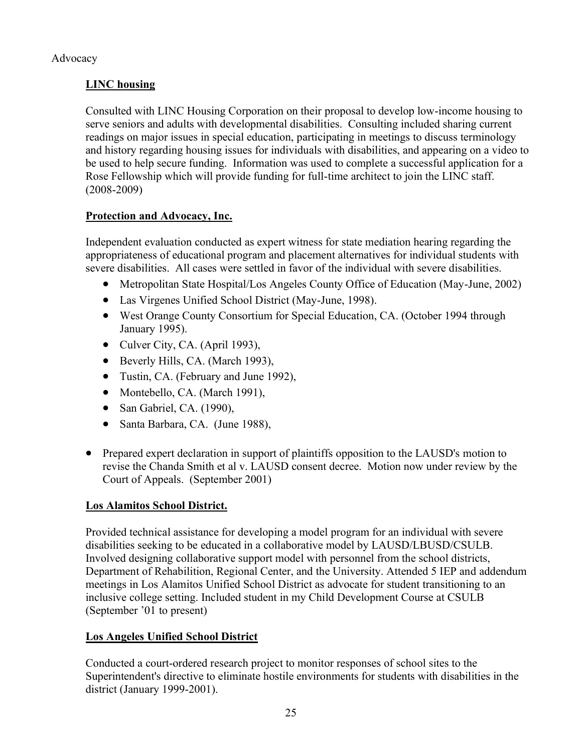## Advocacy

# **LINC housing**

Consulted with LINC Housing Corporation on their proposal to develop low-income housing to serve seniors and adults with developmental disabilities. Consulting included sharing current readings on major issues in special education, participating in meetings to discuss terminology and history regarding housing issues for individuals with disabilities, and appearing on a video to be used to help secure funding. Information was used to complete a successful application for a Rose Fellowship which will provide funding for full-time architect to join the LINC staff. (2008-2009)

# **Protection and Advocacy, Inc.**

Independent evaluation conducted as expert witness for state mediation hearing regarding the appropriateness of educational program and placement alternatives for individual students with severe disabilities. All cases were settled in favor of the individual with severe disabilities.

- Metropolitan State Hospital/Los Angeles County Office of Education (May-June, 2002)
- Las Virgenes Unified School District (May-June, 1998).
- West Orange County Consortium for Special Education, CA. (October 1994 through January 1995).
- Culver City, CA. (April 1993),
- Beverly Hills, CA. (March 1993),
- Tustin, CA. (February and June 1992),
- Montebello, CA. (March 1991),
- San Gabriel, CA. (1990),
- Santa Barbara, CA. (June 1988),
- Prepared expert declaration in support of plaintiffs opposition to the LAUSD's motion to revise the Chanda Smith et al v. LAUSD consent decree. Motion now under review by the Court of Appeals. (September 2001)

# **Los Alamitos School District.**

Provided technical assistance for developing a model program for an individual with severe disabilities seeking to be educated in a collaborative model by LAUSD/LBUSD/CSULB. Involved designing collaborative support model with personnel from the school districts, Department of Rehabilition, Regional Center, and the University. Attended 5 IEP and addendum meetings in Los Alamitos Unified School District as advocate for student transitioning to an inclusive college setting. Included student in my Child Development Course at CSULB (September '01 to present)

# **Los Angeles Unified School District**

Conducted a court-ordered research project to monitor responses of school sites to the Superintendent's directive to eliminate hostile environments for students with disabilities in the district (January 1999-2001).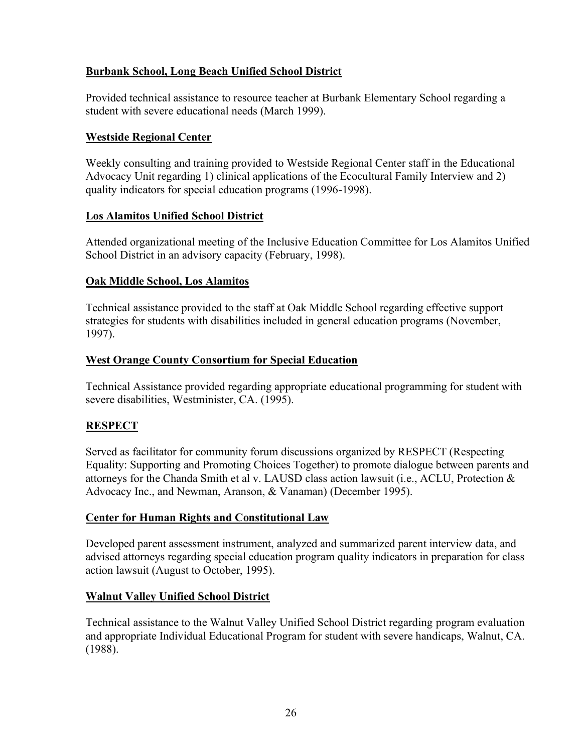# **Burbank School, Long Beach Unified School District**

Provided technical assistance to resource teacher at Burbank Elementary School regarding a student with severe educational needs (March 1999).

## **Westside Regional Center**

Weekly consulting and training provided to Westside Regional Center staff in the Educational Advocacy Unit regarding 1) clinical applications of the Ecocultural Family Interview and 2) quality indicators for special education programs (1996-1998).

# **Los Alamitos Unified School District**

Attended organizational meeting of the Inclusive Education Committee for Los Alamitos Unified School District in an advisory capacity (February, 1998).

## **Oak Middle School, Los Alamitos**

Technical assistance provided to the staff at Oak Middle School regarding effective support strategies for students with disabilities included in general education programs (November, 1997).

# **West Orange County Consortium for Special Education**

Technical Assistance provided regarding appropriate educational programming for student with severe disabilities, Westminister, CA. (1995).

# **RESPECT**

Served as facilitator for community forum discussions organized by RESPECT (Respecting Equality: Supporting and Promoting Choices Together) to promote dialogue between parents and attorneys for the Chanda Smith et al v. LAUSD class action lawsuit (i.e., ACLU, Protection & Advocacy Inc., and Newman, Aranson, & Vanaman) (December 1995).

# **Center for Human Rights and Constitutional Law**

Developed parent assessment instrument, analyzed and summarized parent interview data, and advised attorneys regarding special education program quality indicators in preparation for class action lawsuit (August to October, 1995).

## **Walnut Valley Unified School District**

Technical assistance to the Walnut Valley Unified School District regarding program evaluation and appropriate Individual Educational Program for student with severe handicaps, Walnut, CA. (1988).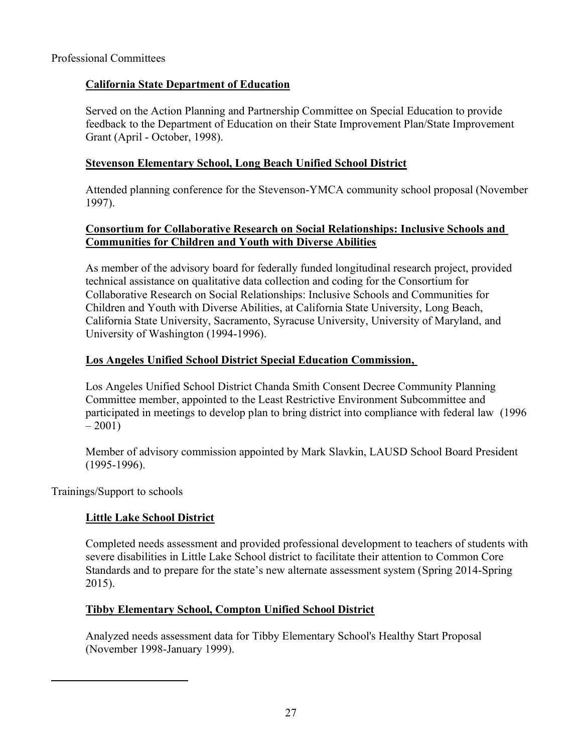# **California State Department of Education**

Served on the Action Planning and Partnership Committee on Special Education to provide feedback to the Department of Education on their State Improvement Plan/State Improvement Grant (April - October, 1998).

# **Stevenson Elementary School, Long Beach Unified School District**

Attended planning conference for the Stevenson-YMCA community school proposal (November 1997).

# **Consortium for Collaborative Research on Social Relationships: Inclusive Schools and Communities for Children and Youth with Diverse Abilities**

As member of the advisory board for federally funded longitudinal research project, provided technical assistance on qualitative data collection and coding for the Consortium for Collaborative Research on Social Relationships: Inclusive Schools and Communities for Children and Youth with Diverse Abilities, at California State University, Long Beach, California State University, Sacramento, Syracuse University, University of Maryland, and University of Washington (1994-1996).

# **Los Angeles Unified School District Special Education Commission,**

Los Angeles Unified School District Chanda Smith Consent Decree Community Planning Committee member, appointed to the Least Restrictive Environment Subcommittee and participated in meetings to develop plan to bring district into compliance with federal law (1996  $-2001$ )

Member of advisory commission appointed by Mark Slavkin, LAUSD School Board President (1995-1996).

Trainings/Support to schools

# **Little Lake School District**

Completed needs assessment and provided professional development to teachers of students with severe disabilities in Little Lake School district to facilitate their attention to Common Core Standards and to prepare for the state's new alternate assessment system (Spring 2014-Spring 2015).

# **Tibby Elementary School, Compton Unified School District**

Analyzed needs assessment data for Tibby Elementary School's Healthy Start Proposal (November 1998-January 1999).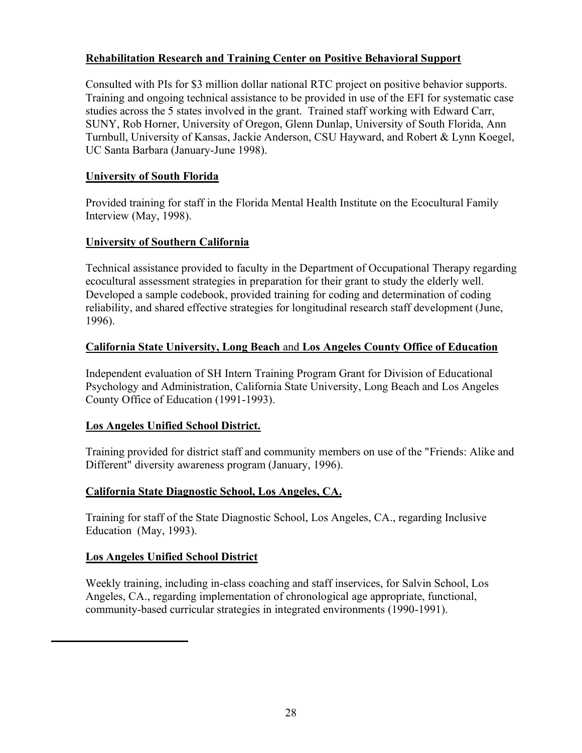# **Rehabilitation Research and Training Center on Positive Behavioral Support**

Consulted with PIs for \$3 million dollar national RTC project on positive behavior supports. Training and ongoing technical assistance to be provided in use of the EFI for systematic case studies across the 5 states involved in the grant. Trained staff working with Edward Carr, SUNY, Rob Horner, University of Oregon, Glenn Dunlap, University of South Florida, Ann Turnbull, University of Kansas, Jackie Anderson, CSU Hayward, and Robert & Lynn Koegel, UC Santa Barbara (January-June 1998).

# **University of South Florida**

Provided training for staff in the Florida Mental Health Institute on the Ecocultural Family Interview (May, 1998).

# **University of Southern California**

Technical assistance provided to faculty in the Department of Occupational Therapy regarding ecocultural assessment strategies in preparation for their grant to study the elderly well. Developed a sample codebook, provided training for coding and determination of coding reliability, and shared effective strategies for longitudinal research staff development (June, 1996).

## **California State University, Long Beach** and **Los Angeles County Office of Education**

Independent evaluation of SH Intern Training Program Grant for Division of Educational Psychology and Administration, California State University, Long Beach and Los Angeles County Office of Education (1991-1993).

# **Los Angeles Unified School District.**

Training provided for district staff and community members on use of the "Friends: Alike and Different" diversity awareness program (January, 1996).

# **California State Diagnostic School, Los Angeles, CA.**

Training for staff of the State Diagnostic School, Los Angeles, CA., regarding Inclusive Education (May, 1993).

# **Los Angeles Unified School District**

Weekly training, including in-class coaching and staff inservices, for Salvin School, Los Angeles, CA., regarding implementation of chronological age appropriate, functional, community-based curricular strategies in integrated environments (1990-1991).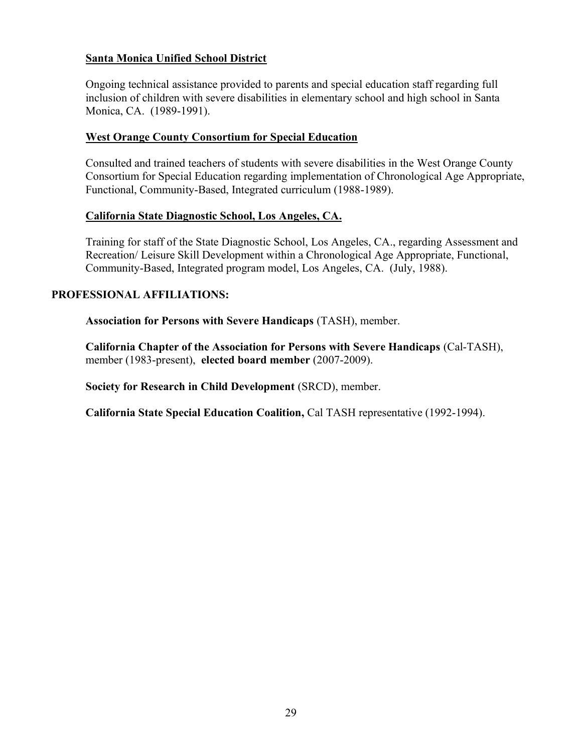# **Santa Monica Unified School District**

Ongoing technical assistance provided to parents and special education staff regarding full inclusion of children with severe disabilities in elementary school and high school in Santa Monica, CA. (1989-1991).

## **West Orange County Consortium for Special Education**

Consulted and trained teachers of students with severe disabilities in the West Orange County Consortium for Special Education regarding implementation of Chronological Age Appropriate, Functional, Community-Based, Integrated curriculum (1988-1989).

## **California State Diagnostic School, Los Angeles, CA.**

Training for staff of the State Diagnostic School, Los Angeles, CA., regarding Assessment and Recreation/ Leisure Skill Development within a Chronological Age Appropriate, Functional, Community-Based, Integrated program model, Los Angeles, CA. (July, 1988).

## **PROFESSIONAL AFFILIATIONS:**

**Association for Persons with Severe Handicaps** (TASH), member.

**California Chapter of the Association for Persons with Severe Handicaps** (Cal-TASH), member (1983-present), **elected board member** (2007-2009).

**Society for Research in Child Development** (SRCD), member.

**California State Special Education Coalition,** Cal TASH representative (1992-1994).